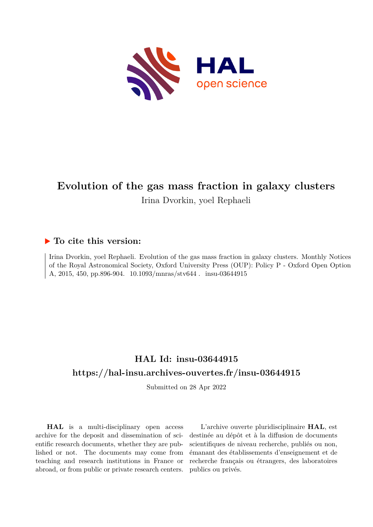

# **Evolution of the gas mass fraction in galaxy clusters** Irina Dvorkin, yoel Rephaeli

# **To cite this version:**

Irina Dvorkin, yoel Rephaeli. Evolution of the gas mass fraction in galaxy clusters. Monthly Notices of the Royal Astronomical Society, Oxford University Press (OUP): Policy P - Oxford Open Option A, 2015, 450, pp.896-904. 10.1093/mnras/stv644. insu-03644915

# **HAL Id: insu-03644915 <https://hal-insu.archives-ouvertes.fr/insu-03644915>**

Submitted on 28 Apr 2022

**HAL** is a multi-disciplinary open access archive for the deposit and dissemination of scientific research documents, whether they are published or not. The documents may come from teaching and research institutions in France or abroad, or from public or private research centers.

L'archive ouverte pluridisciplinaire **HAL**, est destinée au dépôt et à la diffusion de documents scientifiques de niveau recherche, publiés ou non, émanant des établissements d'enseignement et de recherche français ou étrangers, des laboratoires publics ou privés.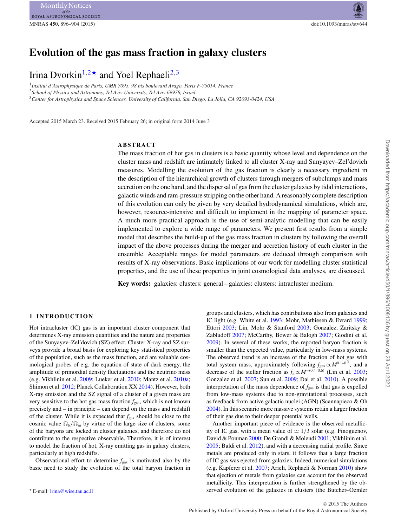# **Evolution of the gas mass fraction in galaxy clusters**

# Irina Dvorkin<sup>1,2\*</sup> and Yoel Rephaeli<sup>2,3</sup>

<sup>1</sup>*Institut d'Astrophysique de Paris, UMR 7095, 98 bis boulevard Arago, Paris F-75014, France* <sup>2</sup>*School of Physics and Astronomy, Tel Aviv University, Tel Aviv 69978, Israel* <sup>3</sup>*Center for Astrophysics and Space Sciences, University of California, San Diego, La Jolla, CA 92093-0424, USA*

Accepted 2015 March 23. Received 2015 February 26; in original form 2014 June 3

# **ABSTRACT**

The mass fraction of hot gas in clusters is a basic quantity whose level and dependence on the cluster mass and redshift are intimately linked to all cluster X-ray and Sunyayev–Zel'dovich measures. Modelling the evolution of the gas fraction is clearly a necessary ingredient in the description of the hierarchical growth of clusters through mergers of subclumps and mass accretion on the one hand, and the dispersal of gas from the cluster galaxies by tidal interactions, galactic winds and ram-pressure stripping on the other hand. A reasonably complete description of this evolution can only be given by very detailed hydrodynamical simulations, which are, however, resource-intensive and difficult to implement in the mapping of parameter space. A much more practical approach is the use of semi-analytic modelling that can be easily implemented to explore a wide range of parameters. We present first results from a simple model that describes the build-up of the gas mass fraction in clusters by following the overall impact of the above processes during the merger and accretion history of each cluster in the ensemble. Acceptable ranges for model parameters are deduced through comparison with results of X-ray observations. Basic implications of our work for modelling cluster statistical properties, and the use of these properties in joint cosmological data analyses, are discussed.

**Key words:** galaxies: clusters: general – galaxies: clusters: intracluster medium.

#### **1 INTRODUCTION**

Hot intracluster (IC) gas is an important cluster component that determines X-ray emission quantities and the nature and properties of the Sunyayev–Zel'dovich (SZ) effect. Cluster X-ray and SZ surveys provide a broad basis for exploring key statistical properties of the population, such as the mass function, and are valuable cosmological probes of e.g. the equation of state of dark energy, the amplitude of primordial density fluctuations and the neutrino mass (e.g. Vikhlinin et al. 2009; Lueker et al. 2010; Mantz et al. 2010a; Shimon et al. 2012; Planck Collaboration XX 2014). However, both X-ray emission and the SZ signal of a cluster of a given mass are very sensitive to the hot gas mass fraction  $f_{\text{gas}}$ , which is not known precisely and – in principle – can depend on the mass and redshift of the cluster. While it is expected that  $f_{\text{gas}}$  should be close to the cosmic value  $\Omega_{\rm b}/\Omega_{\rm m}$  by virtue of the large size of clusters, some of the baryons are locked in cluster galaxies, and therefore do not contribute to the respective observable. Therefore, it is of interest to model the fraction of hot, X-ray emitting gas in galaxy clusters, particularly at high redshifts.

Observational effort to determine *f*gas is motivated also by the basic need to study the evolution of the total baryon fraction in groups and clusters, which has contributions also from galaxies and IC light (e.g. White et al. 1993; Mohr, Mathiesen & Evrard 1999; Ettori 2003; Lin, Mohr & Stanford 2003; Gonzalez, Zaritsky & Zabludoff 2007; McCarthy, Bower & Balogh 2007; Giodini et al. 2009). In several of these works, the reported baryon fraction is smaller than the expected value, particularly in low-mass systems. The observed trend is an increase of the fraction of hot gas with total system mass, approximately following  $f_{\text{gas}} \propto M^{0.1-0.2}$ , and a decrease of the stellar fraction as  $f_s \propto M^{-(0.4-0.6)}$  (Lin et al. 2003; Gonzalez et al. 2007; Sun et al. 2009; Dai et al. 2010). A possible interpretation of the mass dependence of  $f_{\text{gas}}$  is that gas is expelled from low-mass systems due to non-gravitational processes, such as feedback from active galactic nuclei (AGN) (Scannapieco & Oh 2004). In this scenario more massive systems retain a larger fraction of their gas due to their deeper potential wells.

Another important piece of evidence is the observed metallicity of IC gas, with a mean value of  $\simeq 1/3$  solar (e.g. Finoguenov, David & Ponman 2000; De Grandi & Molendi 2001; Vikhlinin et al. 2005; Baldi et al. 2012), and with a decreasing radial profile. Since metals are produced only in stars, it follows that a large fraction of IC gas was ejected from galaxies. Indeed, numerical simulations (e.g. Kapferer et al. 2007; Arieli, Rephaeli & Norman 2010) show that ejection of metals from galaxies can account for the observed metallicity. This interpretation is further strengthened by the observed evolution of the galaxies in clusters (the Butcher–Oemler

E-mail: [irina@wise.tau.ac.il](mailto:irina@wise.tau.ac.il)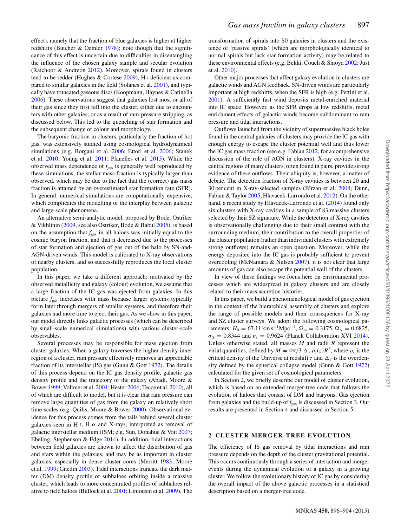effect), namely that the fraction of blue galaxies is higher at higher redshifts (Butcher & Oemler 1978); note though that the significance of this effect is uncertain due to difficulties in disentangling the influence of the chosen galaxy sample and secular evolution (Raichoor & Andreon 2012). Moreover, spirals found in clusters tend to be redder (Hughes & Cortese 2009), H I deficient as compared to similar galaxies in the field (Solanes et al. 2001), and typically have truncated gaseous discs (Koopmann, Haynes & Catinella 2006). These observations suggest that galaxies lost most or all of their gas since they first fell into the cluster, either due to encounters with other galaxies, or as a result of ram-pressure stripping, as discussed below. This led to the quenching of star formation and the subsequent change of colour and morphology.

The baryonic fraction in clusters, particularly the fraction of hot gas, was extensively studied using cosmological hydrodynamical simulations (e.g. Borgani et al. 2006; Ettori et al. 2006; Stanek et al. 2010; Young et al. 2011; Planelles et al. 2013). While the observed mass dependence of  $f_{\text{gas}}$  is generally well reproduced by these simulations, the stellar mass fraction is typically larger than observed, which may be due to the fact that the (correct) gas mass fraction is attained by an overestimated star formation rate (SFR). In general, numerical simulations are computationally expensive, which complicates the modelling of the interplay between galactic and large-scale phenomena.

An alternative semi-analytic model, proposed by Bode, Ostriker & Vikhlinin (2009, see also Ostriker, Bode & Babul 2005), is based on the assumption that  $f_{\text{gas}}$  in all haloes was initially equal to the cosmic baryon fraction, and that it decreased due to the processes of star formation and ejection of gas out of the halo by SN-and-AGN-driven winds. This model is calibrated to X-ray observations of nearby clusters, and so successfully reproduces the local cluster population.

In this paper, we take a different approach: motivated by the observed metallicity and galaxy (colour) evolution, we assume that a large fraction of the IC gas was ejected from galaxies. In this picture  $f_{\text{gas}}$  increases with mass because larger systems typically form later through mergers of smaller systems, and therefore their galaxies had more time to eject their gas. As we show in this paper, our model directly links galactic processes (which can be described by small-scale numerical simulations) with various cluster-scale observables.

Several processes may be responsible for mass ejection from cluster galaxies. When a galaxy traverses the higher density inner region of a cluster, ram pressure effectively removes an appreciable fraction of its interstellar (IS) gas (Gunn & Gott 1972). The details of this process depend on the IC gas density profile, galactic gas density profile and the trajectory of the galaxy (Abadi, Moore & Bower 1999; Vollmer et al. 2001; Hester 2006; Tecce et al. 2010), all of which are difficult to model, but it is clear that ram pressure can remove large quantities of gas from the galaxy on relatively short time-scales (e.g. Quilis, Moore & Bower 2000). Observational evidence for this process comes from the tails behind several cluster galaxies seen in H<sub>I</sub>, H  $\alpha$  and X-rays, interpreted as removal of galactic interstellar medium (ISM; e.g. Sun, Donahue & Voit 2007; Ebeling, Stephenson & Edge 2014). In addition, tidal interactions between field galaxies are known to affect the distribution of gas and stars within the galaxies, and may be as important in cluster galaxies, especially in dense cluster cores (Merritt 1983; Moore et al. 1999; Gnedin 2003). Tidal interactions truncate the dark matter (DM) density profile of subhaloes orbiting inside a massive cluster, which leads to more concentrated profiles of subhaloes relative to field haloes (Bullock et al. 2001; Limousin et al. 2009). The

transformation of spirals into S0 galaxies in clusters and the existence of 'passive spirals' (which are morphologically identical to normal spirals but lack star formation activity) may be related to these environmental effects (e.g. Bekki, Couch & Shioya 2002; Just et al. 2010).

Other major processes that affect galaxy evolution in clusters are galactic winds and AGN feedback. SN-driven winds are particularly important at high redshifts, when the SFR is high (e.g. Pettini et al. 2001). A sufficiently fast wind deposits metal-enriched material into IC space. However, as the SFR drops at low redshifts, metal enrichment effects of galactic winds become subdominant to ram pressure and tidal interactions.

Outflows launched from the vicinity of supermassive black holes found in the central galaxies of clusters may provide the IC gas with enough energy to escape the cluster potential well and thus lower the IC gas mass fraction (see e.g. Fabian 2012, for a comprehensive discussion of the role of AGN in clusters). X-ray cavities in the central regions of many clusters, often found in pairs, provide strong evidence of these outflows. Their ubiquity is, however, a matter of debate. The detection fraction of X-ray cavities is between 20 and 30 per cent in X-ray-selected samples (Bîrzan et al. 2004; Dunn, Fabian & Taylor 2005; Hlavacek-Larrondo et al. 2012). On the other hand, a recent study by Hlavacek-Larrondo et al. (2014) found only six clusters with X-ray cavities in a sample of 83 massive clusters selected by their SZ signature. While the detection of X-ray cavities is observationally challenging due to their small contrast with the surrounding medium, their contribution to the overall properties of the cluster population (rather than individual clusters with extremely strong outflows) remains an open question. Moreover, while the energy deposited into the IC gas is probably sufficient to prevent overcooling (McNamara & Nulsen 2007), it is not clear that large amounts of gas can also escape the potential well of the clusters.

In view of these findings we focus here on environmental processes which are widespread in galaxy clusters and are closely related to their mass accretion histories.

In this paper, we build a phenomenological model of gas ejection in the context of the hierarchical assembly of clusters and explore the range of possible models and their consequences for X-ray and SZ cluster surveys. We adopt the following cosmological parameters:  $H_0 = 67.11 \text{ km s}^{-1} \text{Mpc}^{-1}$ ,  $\Omega_{\text{m}} = 0.3175$ ,  $\Omega_{\Lambda} = 0.6825$ ,  $\sigma_8 = 0.8344$  and  $n_s = 0.9624$  (Planck Collaboration XVI 2014). Unless otherwise stated, all masses *M* and radii *R* represent the virial quantities, defined by  $M = 4\pi/3 \Delta_V \rho_c(z) R^3$ , where  $\rho_c$  is the critical density of the Universe at redshift z and  $\Delta_V$  is the overdensity defined by the spherical collapse model (Gunn & Gott 1972) calculated for the given set of cosmological parameters.

In Section 2, we briefly describe our model of cluster evolution, which is based on an extended merger-tree code that follows the evolution of haloes that consist of DM and baryons. Gas ejection from galaxies and the build-up of  $f_{\text{gas}}$  is discussed in Section 3. Our results are presented in Section 4 and discussed in Section 5.

### **2 CLUSTER MERGER-TREE EVOLUTION**

The efficiency of IS gas removal by tidal interactions and ram pressure depends on the depth of the cluster gravitational potential. This occurs continuously through a series of interaction and merger events during the dynamical evolution of a galaxy in a growing cluster. We follow the evolutionary history of IC gas by considering the overall impact of the above galactic processes in a statistical description based on a merger-tree code.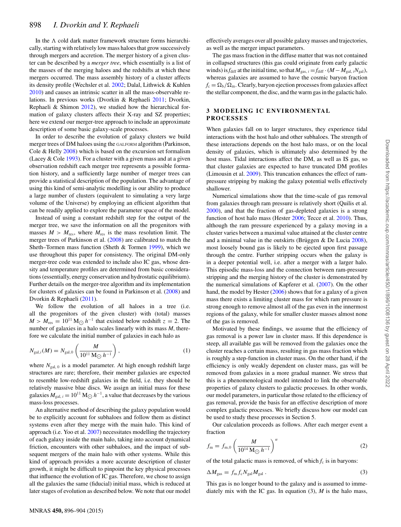In the  $\Lambda$  cold dark matter framework structure forms hierarchically, starting with relatively low mass haloes that grow successively through mergers and accretion. The merger history of a given cluster can be described by a *merger tree*, which essentially is a list of the masses of the merging haloes and the redshifts at which these mergers occurred. The mass assembly history of a cluster affects its density profile (Wechsler et al. 2002; Dalal, Lithwick & Kuhlen 2010) and causes an intrinsic scatter in all the mass-observable relations. In previous works (Dvorkin & Rephaeli 2011; Dvorkin, Rephaeli & Shimon 2012), we studied how the hierarchical formation of galaxy clusters affects their X-ray and SZ properties; here we extend our merger-tree approach to include an approximate description of some basic galaxy-scale processes.

In order to describe the evolution of galaxy clusters we build merger trees of DM haloes using the GALFORM algorithm (Parkinson, Cole & Helly 2008) which is based on the excursion set formalism (Lacey  $&$  Cole 1993). For a cluster with a given mass and at a given observation redshift each merger tree represents a possible formation history, and a sufficiently large number of merger trees can provide a statistical description of the population. The advantage of using this kind of semi-analytic modelling is our ability to produce a large number of clusters (equivalent to simulating a very large volume of the Universe) by employing an efficient algorithm that can be readily applied to explore the parameter space of the model.

Instead of using a constant redshift step for the output of the merger tree, we save the information on all the progenitors with masses  $M > M_{res}$ , where  $M_{res}$  is the mass resolution limit. The merger trees of Parkinson et al. (2008) are calibrated to match the Sheth–Tormen mass function (Sheth & Tormen 1999), which we use throughout this paper for consistency. The original DM-only merger-tree code was extended to include also IC gas, whose density and temperature profiles are determined from basic considerations (essentially, energy conservation and hydrostatic equilibrium). Further details on the merger-tree algorithm and its implementation for clusters of galaxies can be found in Parkinson et al. (2008) and Dvorkin & Rephaeli (2011).

We follow the evolution of all haloes in a tree (i.e. all the progenitors of the given cluster) with (total) masses  $M > M_{\text{res}} = 10^{11} \text{ M}_{\odot} h^{-1}$  that existed below redshift  $z = 2$ . The number of galaxies in a halo scales linearly with its mass *M*, therefore we calculate the initial number of galaxies in each halo as

$$
N_{\text{gal},i}(M) = N_{\text{gal},0} \left( \frac{M}{10^{11} \, \text{M}_{\bigodot} \, h^{-1}} \right),\tag{1}
$$

where  $N_{\text{gal, 0}}$  is a model parameter. At high enough redshift large structures are rare; therefore, their member galaxies are expected to resemble low-redshift galaxies in the field, i.e. they should be relatively massive blue discs. We assign an initial mass for these galaxies  $M_{gal, i} = 10^{11} M_{\odot} h^{-1}$ , a value that decreases by the various mass-loss processes.

An alternative method of describing the galaxy population would be to explicitly account for subhaloes and follow them as distinct systems even after they merge with the main halo. This kind of approach (i.e. Yoo et al. 2007) necessitates modelling the trajectory of each galaxy inside the main halo, taking into account dynamical friction, encounters with other subhaloes, and the impact of subsequent mergers of the main halo with other systems. While this kind of approach provides a more accurate description of cluster growth, it might be difficult to pinpoint the key physical processes that influence the evolution of IC gas. Therefore, we chose to assign all the galaxies the same (fiducial) initial mass, which is reduced at later stages of evolution as described below. We note that our model

effectively averages over all possible galaxy masses and trajectories, as well as the merger impact parameters.

The gas mass fraction in the diffuse matter that was not contained in collapsed structures (this gas could originate from early galactic winds) is  $f_{\text{diff}}$  at the initial time, so that  $M_{\text{gas, }i} = f_{\text{diff}} \cdot (M - M_{\text{gal, }i}N_{\text{gal}})$ , whereas galaxies are assumed to have the cosmic baryon fraction  $f_c = \Omega_b / \Omega_m$ . Clearly, baryon ejection processes from galaxies affect the stellar component, the disc, and the warm gas in the galactic halo.

#### **3 MODELING IC ENVIRONMENTAL PROCESSES**

When galaxies fall on to larger structures, they experience tidal interactions with the host halo and other subhaloes. The strength of these interactions depends on the host halo mass, or on the local density of galaxies, which is ultimately also determined by the host mass. Tidal interactions affect the DM, as well as IS gas, so that cluster galaxies are expected to have truncated DM profiles (Limousin et al. 2009). This truncation enhances the effect of rampressure stripping by making the galaxy potential wells effectively shallower.

Numerical simulations show that the time-scale of gas removal from galaxies through ram pressure is relatively short (Quilis et al. 2000), and that the fraction of gas-depleted galaxies is a strong function of host halo mass (Hester 2006; Tecce et al. 2010). Thus, although the ram pressure experienced by a galaxy moving in a cluster varies between a maximal value attained at the cluster centre and a minimal value in the outskirts (Brüggen  $&$  De Lucia  $2008$ ), most loosely bound gas is likely to be ejected upon first passage through the centre. Further stripping occurs when the galaxy is in a deeper potential well, i.e. after a merger with a larger halo. This episodic mass-loss and the connection between ram-pressure stripping and the merging history of the cluster is demonstrated by the numerical simulations of Kapferer et al. (2007). On the other hand, the model by Hester (2006) shows that for a galaxy of a given mass there exists a limiting cluster mass for which ram pressure is strong enough to remove almost all of the gas even in the innermost regions of the galaxy, while for smaller cluster masses almost none of the gas is removed.

Motivated by these findings, we assume that the efficiency of gas removal is a power law in cluster mass. If this dependence is steep, all available gas will be removed from the galaxies once the cluster reaches a certain mass, resulting in gas mass fraction which is roughly a step-function in cluster mass. On the other hand, if the efficiency is only weakly dependent on cluster mass, gas will be removed from galaxies in a more gradual manner. We stress that this is a phenomenological model intended to link the observable properties of galaxy clusters to galactic processes. In other words, our model parameters, in particular those related to the efficiency of gas removal, provide the basis for an effective description of more complex galactic processes. We briefly discuss how our model can be used to study these processes in Section 5.

Our calculation proceeds as follows. After each merger event a fraction

$$
f_{\rm m} = f_{\rm m,0} \left( \frac{M}{10^{14} \, \text{M}_{\bigodot} \, h^{-1}} \right)^{\alpha} \tag{2}
$$

of the total galactic mass is removed, of which  $f_c$  is in baryons:

$$
\Delta M_{\rm gas} = f_{\rm m} f_{\rm c} N_{\rm gal} M_{\rm gal} \,. \tag{3}
$$

This gas is no longer bound to the galaxy and is assumed to immediately mix with the IC gas. In equation (3), *M* is the halo mass,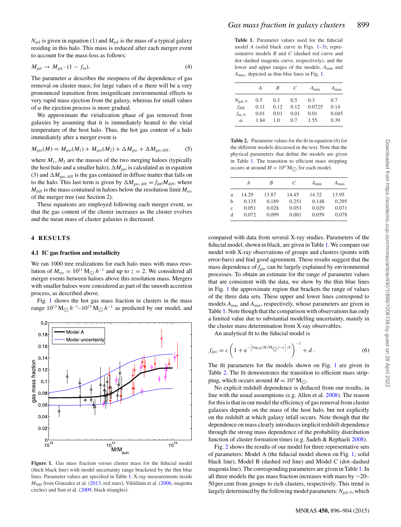$N_{\text{gal}}$  is given in equation (1) and  $M_{\text{gal}}$  is the mass of a typical galaxy residing in this halo. This mass is reduced after each merger event to account for the mass-loss as follows:

$$
M_{\rm gal} \to M_{\rm gal} \cdot (1 - f_{\rm m}). \tag{4}
$$

The parameter  $\alpha$  describes the steepness of the dependence of gas removal on cluster mass; for large values of  $\alpha$  there will be a very pronounced transition from insignificant environmental effects to very rapid mass ejection from the galaxy, whereas for small values of  $\alpha$  the ejection process is more gradual.

We approximate the virialization phase of gas removed from galaxies by assuming that it is immediately heated to the virial temperature of the host halo. Thus, the hot gas content of a halo immediately after a merger event is

$$
M_{\rm gas}(M) = M_{\rm gas}(M_1) + M_{\rm gas}(M_2) + \Delta M_{\rm gas} + \Delta M_{\rm gas, diff},\tag{5}
$$

where  $M_1$ ,  $M_2$  are the masses of the two merging haloes (typically the host halo and a smaller halo),  $\Delta M_{\rm gas}$  is calculated as in equation (3) and  $\Delta M_{\text{gas, diff}}$  is the gas contained in diffuse matter that falls on to the halo. This last term is given by  $\Delta M_{\text{gas, diff}} = f_{\text{diff}} M_{\text{diff}}$ , where  $M_{\text{diff}}$  is the mass contained in haloes below the resolution limit  $M_{\text{res}}$ of the merger tree (see Section 2).

These equations are employed following each merger event, so that the gas content of the cluster increases as the cluster evolves and the mean mass of cluster galaxies is decreased.

## **4 RESULTS**

### **4.1 IC gas fraction and metallicity**

We ran 1000 tree realizations for each halo mass with mass resolution of  $M_{res} = 10^{11} M_{\odot} h^{-1}$  and up to  $z = 2$ . We considered all merger events between haloes above this resolution mass. Mergers with smaller haloes were considered as part of the smooth accretion process, as described above.

Fig. 1 shows the hot gas mass fraction in clusters in the mass range  $10^{13}$  M<sub> $\odot$ </sub>  $h^{-1}$ – $10^{15}$  M $\odot$   $h^{-1}$  as predicted by our model, and



**Figure 1.** Gas mass fraction versus cluster mass for the fiducial model (thick black line) with model uncertainty range bracketed by the thin blue lines. Parameter values are specified in Table 1. X-ray measurements inside *M*<sup>500</sup> from Gonzalez et al. (2013, red stars), Vikhlinin et al. (2006, magenta circles) and Sun et al. (2009, black triangles).

**Table 1.** Parameter values used for the fiducial model *A* (solid black curve in Figs. 1–3); representative models *B* and *C* (dashed red curve and dot–dashed magenta curve, respectively), and the lower and upper ranges of the models, *A*min and *A*max, depicted as thin blue lines in Fig. 1.

|                   | A    | B    | C    | $A_{\min}$ | $A_{\text{max}}$ |
|-------------------|------|------|------|------------|------------------|
| $N_{\rm gal,~0}$  | 0.5  | 0.3  | 0.5  | 0.3        | 0.7              |
| $f_{\text{diff}}$ | 0.11 | 0.12 | 0.12 | 0.0725     | 0.14             |
| $f_{\rm m,0}$     | 0.01 | 0.01 | 0.01 | 0.01       | 0.045            |
| $\alpha$          | 1.84 | 1.0  | 0.7  | 1.55       | 0.39             |

**Table 2.** Parameter values for the fit in equation (6) for the different models discussed in the text. Note that the physical parameters that define the models are given in Table 1. The transition to efficient mass stripping occurs at around  $M = 10^a$  M<sub>( $\Omega$ </sub>) for each model.

|             | А     | R     | C     | $A_{\min}$ | $A_{\text{max}}$ |
|-------------|-------|-------|-------|------------|------------------|
| a           | 14.29 | 13.87 | 14.45 | 14.32      | 13.95            |
| h           | 0.135 | 0.189 | 0.251 | 0.148      | 0.295            |
| $\mathbf c$ | 0.051 | 0.028 | 0.053 | 0.029      | 0.071            |
| d           | 0.072 | 0.099 | 0.081 | 0.059      | 0.078            |

compared with data from several X-ray studies. Parameters of the fiducial model, shown in black, are given in Table 1. We compare our model with X-ray observations of groups and clusters (points with error-bars) and find good agreement. These results suggest that the mass dependence of  $f_{\text{gas}}$  can be largely explained by environmental processes. To obtain an estimate for the range of parameter values that are consistent with the data, we show by the thin blue lines in Fig. 1 the approximate region that brackets the range of values of the three data sets. These upper and lower lines correspond to models  $A_{\text{max}}$  and  $A_{\text{min}}$ , respectively, whose parameters are given in Table 1. Note though that the comparison with observations has only a limited value due to substantial modelling uncertainty, mainly in the cluster mass determination from X-ray observables.

An analytical fit to the fiducial model is

$$
f_{\rm gas} = c \left( 1 + e^{-\left[ \log_{10}(M/M_{\odot}) - a \right] / b} \right)^{-1} + d \,. \tag{6}
$$

The fit parameters for the models shown on Fig. 1 are given in Table 2. The fit demonstrates the transition to efficient mass stripping, which occurs around  $M = 10^a$  M...

No explicit redshift dependence is deduced from our results, in line with the usual assumptions (e.g. Allen et al. 2008). The reason for this is that in our model the efficiency of gas removal from cluster galaxies depends on the mass of the host halo, but not explicitly on the redshift at which galaxy infall occurs. Note though that the dependence on mass clearly introduces implicit redshift dependence through the strong mass dependence of the probability distribution function of cluster formation times (e.g. Sadeh & Rephaeli 2008).

Fig. 2 shows the results of our model for three representative sets of parameters: Model A (the fiducial model shown on Fig. 1; solid black line), Model B (dashed red line) and Model C (dot–dashed magenta line). The corresponding parameters are given in Table 1. In all three models the gas mass fraction increases with mass by ∼20– 50 per cent from groups to rich clusters, respectively. This trend is largely determined by the following model parameters:  $N_{gal, 0}$ , which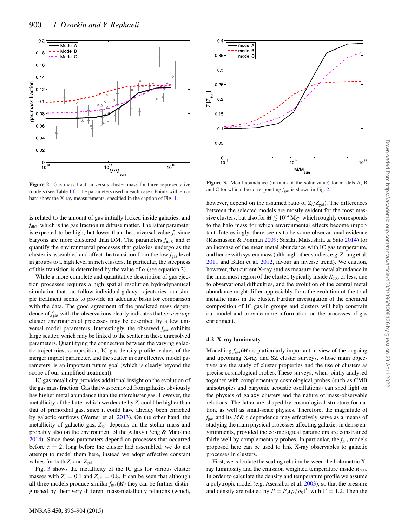

**Figure 2.** Gas mass fraction versus cluster mass for three representative models (see Table 1 for the parameters used in each case). Points with error bars show the X-ray measurements, specified in the caption of Fig. 1.

is related to the amount of gas initially locked inside galaxies, and  $f<sub>diff</sub>$ , which is the gas fraction in diffuse matter. The latter parameter is expected to be high, but lower than the universal value  $f_c$  since baryons are more clustered than DM. The parameters  $f_{m,0}$  and  $\alpha$ quantify the environmental processes that galaxies undergo as the cluster is assembled and affect the transition from the low  $f_{\text{gas}}$  level in groups to a high level in rich clusters. In particular, the steepness of this transition is determined by the value of  $\alpha$  (see equation 2).

While a more complete and quantitative description of gas ejection processes requires a high spatial resolution hydrodynamical simulation that can follow individual galaxy trajectories, our simple treatment seems to provide an adequate basis for comparison with the data. The good agreement of the predicted mass dependence of *f*gas with the observations clearly indicates that *on average* cluster environmental processes may be described by a few universal model parameters. Interestingly, the observed  $f_{gas}$  exhibits large scatter, which may be linked to the scatter in these unresolved parameters. Quantifying the connection between the varying galactic trajectories, composition, IC gas density profile, values of the merger impact parameter, and the scatter in our effective model parameters, is an important future goal (which is clearly beyond the scope of our simplified treatment).

IC gas metallicity provides additional insight on the evolution of the gas mass fraction. Gas that was removed from galaxies obviously has higher metal abundance than the intercluster gas. However, the metallicity of the latter which we denote by  $Z_i$  could be higher than that of primordial gas, since it could have already been enriched by galactic outflows (Werner et al. 2013). On the other hand, the metallicity of galactic gas, Z<sub>gal</sub> depends on the stellar mass and probably also on the environment of the galaxy (Peng & Maiolino 2014). Since these parameters depend on processes that occurred before  $z = 2$ , long before the cluster had assembled, we do not attempt to model them here, instead we adopt effective constant values for both  $Z_i$  and  $Z_{gal}$ .

Fig. 3 shows the metallicity of the IC gas for various cluster masses with  $Z_i = 0.1$  and  $Z_{gal} = 0.8$ . It can be seen that although all three models produce similar  $f_{\text{gas}}(M)$  they can be further distinguished by their very different mass-metallicity relations (which,



**Figure 3.** Metal abundance (in units of the solar value) for models A, B and C for which the corresponding  $f_{\text{gas}}$  is shown in Fig. 2.

however, depend on the assumed ratio of  $Z_i/Z_{gal}$ ). The differences between the selected models are mostly evident for the most massive clusters, but also for  $M \lesssim 10^{14}$  M<sub>O</sub> which roughly corresponds to the halo mass for which environmental effects become important. Interestingly, there seems to be some observational evidence (Rasmussen & Ponman 2009; Sasaki, Matsushita & Sato 2014) for an increase of the mean metal abundance with IC gas temperature, and hence with system mass (although other studies, e.g. Zhang et al. 2011 and Baldi et al. 2012, favour an inverse trend). We caution, however, that current X-ray studies measure the metal abundance in the innermost region of the cluster, typically inside  $R_{500}$  or less, due to observational difficulties, and the evolution of the central metal abundance might differ appreciably from the evolution of the total metallic mass in the cluster. Further investigation of the chemical composition of IC gas in groups and clusters will help constrain our model and provide more information on the processes of gas enrichment.

#### **4.2 X-ray luminosity**

Modelling  $f_{\text{gas}}(M)$  is particularly important in view of the ongoing and upcoming X-ray and SZ cluster surveys, whose main objectives are the study of cluster properties and the use of clusters as precise cosmological probes. These surveys, when jointly analysed together with complementary cosmological probes (such as CMB anisotropies and baryonic acoustic oscillations) can shed light on the physics of galaxy clusters and the nature of mass-observable relations. The latter are shaped by cosmological structure formation, as well as small-scale physics. Therefore, the magnitude of  $f_{\text{gas}}$  and its  $M\&\ z$  dependence may effectively serve as a means of studying the main physical processes affecting galaxies in dense environments, provided the cosmological parameters are constrained fairly well by complementary probes. In particular, the *fgas* models proposed here can be used to link X-ray observables to galactic processes in clusters.

First, we calculate the scaling relation between the bolometric Xray luminosity and the emission weighted temperature inside  $R_{500}$ . In order to calculate the density and temperature profile we assume a polytropic model (e.g. Ascasibar et al. 2003), so that the pressure and density are related by  $P = P_0(\rho/\rho_0)^{\Gamma}$  with  $\Gamma = 1.2$ . Then the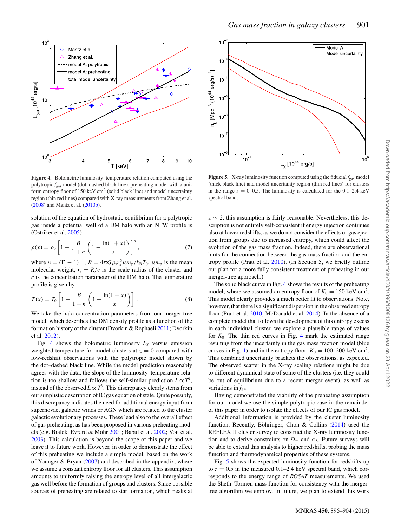

**Figure 4.** Bolometric luminosity–temperature relation computed using the polytropic *f*gas model (dot–dashed black line), preheating model with a uniform entropy floor of 150 keV  $\text{cm}^2$  (solid black line) and model uncertainty region (thin red lines) compared with X-ray measurements from Zhang et al. (2008) and Mantz et al. (2010b).

solution of the equation of hydrostatic equilibrium for a polytropic gas inside a potential well of a DM halo with an NFW profile is (Ostriker et al. 2005)

$$
\rho(x) = \rho_0 \left[ 1 - \frac{B}{1+n} \left( 1 - \frac{\ln(1+x)}{x} \right) \right]^n, \tag{7}
$$

where  $n = (\Gamma - 1)^{-1}$ ,  $B = 4\pi G \rho_s r_s^2 \mu m_p / k_B T_0$ ,  $\mu m_p$  is the mean molecular weight,  $r_s = R/c$  is the scale radius of the cluster and *c* is the concentration parameter of the DM halo. The temperature profile is given by

$$
T(x) = T_0 \left[ 1 - \frac{B}{1+n} \left( 1 - \frac{\ln(1+x)}{x} \right) \right] \,. \tag{8}
$$

We take the halo concentration parameters from our merger-tree model, which describes the DM density profile as a function of the formation history of the cluster (Dvorkin & Rephaeli 2011; Dvorkin et al. 2012).

Fig. 4 shows the bolometric luminosity  $L_X$  versus emission weighted temperature for model clusters at  $z = 0$  compared with low-redshift observations with the polytropic model shown by the dot–dashed black line. While the model prediction reasonably agrees with the data, the slope of the luminosity–temperature relation is too shallow and follows the self-similar prediction  $L \propto T^2$ , instead of the observed  $L \propto T^3$ . This discrepancy clearly stems from our simplistic description of IC gas equation of state. Quite possibly, this discrepancy indicates the need for additional energy input from supernovae, galactic winds or AGN which are related to the cluster galactic evolutionary processes. These lead also to the overall effect of gas preheating, as has been proposed in various preheating models (e.g. Bialek, Evrard & Mohr 2001; Babul et al. 2002; Voit et al. 2003). This calculation is beyond the scope of this paper and we leave it to future work. However, in order to demonstrate the effect of this preheating we include a simple model, based on the work of Younger & Bryan  $(2007)$  and described in the appendix, where we assume a constant entropy floor for all clusters. This assumption amounts to uniformly raising the entropy level of all intergalactic gas well before the formation of groups and clusters. Since possible sources of preheating are related to star formation, which peaks at



**Figure 5.** X-ray luminosity function computed using the fiducial  $f_{gas}$  model (thick black line) and model uncertainty region (thin red lines) for clusters in the range  $z = 0$ –0.5. The luminosity is calculated for the 0.1–2.4 keV spectral band.

 $z \sim 2$ , this assumption is fairly reasonable. Nevertheless, this description is not entirely self-consistent if energy injection continues also at lower redshifts, as we do not consider the effects of gas ejection from groups due to increased entropy, which could affect the evolution of the gas mass fraction. Indeed, there are observational hints for the connection between the gas mass fraction and the entropy profile (Pratt et al. 2010). (In Section 5, we briefly outline our plan for a more fully consistent treatment of preheating in our merger-tree approach.)

The solid black curve in Fig. 4 shows the results of the preheating model, where we assumed an entropy floor of  $K_0 = 150 \text{ keV cm}^2$ . This model clearly provides a much better fit to observations. Note, however, that there is a significant dispersion in the observed entropy floor (Pratt et al. 2010; McDonald et al. 2014). In the absence of a complete model that follows the development of this entropy excess in each individual cluster, we explore a plausible range of values for  $K_0$ . The thin red curves in Fig. 4 mark the estimated range resulting from the uncertainty in the gas mass fraction model (blue curves in Fig. 1) and in the entropy floor:  $K_0 = 100-200 \text{ keV cm}^2$ . This combined uncertainty brackets the observations, as expected. The observed scatter in the X-ray scaling relations might be due to different dynamical state of some of the clusters (i.e. they could be out of equilibrium due to a recent merger event), as well as variations in  $f_{\text{gas}}$ .

Having demonstrated the viability of the preheating assumption for our model we use the simple polytropic case in the remainder of this paper in order to isolate the effects of our IC gas model.

Additional information is provided by the cluster luminosity function. Recently, Böhringer, Chon & Collins  $(2014)$  used the REFLEX II cluster survey to construct the X-ray luminosity function and to derive constraints on  $\Omega_{\rm m}$  and  $\sigma_8$ . Future surveys will be able to extend this analysis to higher redshifts, probing the mass function and thermodynamical properties of these systems.

Fig. 5 shows the expected luminosity function for redshifts up to  $z = 0.5$  in the measured 0.1–2.4 keV spectral band, which corresponds to the energy range of *ROSAT* measurements. We used the Sheth–Tormen mass function for consistency with the mergertree algorithm we employ. In future, we plan to extend this work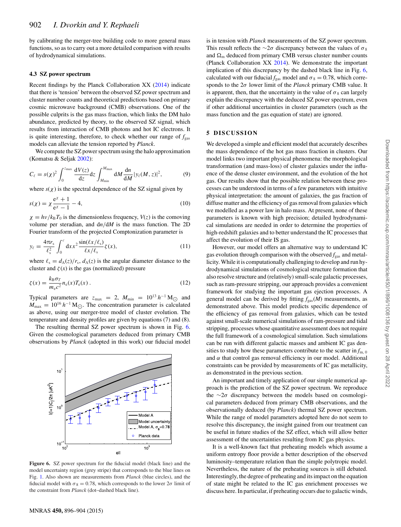by calibrating the merger-tree building code to more general mass functions, so as to carry out a more detailed comparison with results of hydrodynamical simulations.

#### **4.3 SZ power spectrum**

Recent findings by the Planck Collaboration XX (2014) indicate that there is 'tension' between the observed SZ power spectrum and cluster number counts and theoretical predictions based on primary cosmic microwave background (CMB) observations. One of the possible culprits is the gas mass fraction, which links the DM halo abundance, predicted by theory, to the observed SZ signal, which results from interaction of CMB photons and hot IC electrons. It is quite interesting, therefore, to check whether our range of  $f_{\text{gas}}$ models can alleviate the tension reported by *Planck*.

We compute the SZ power spectrum using the halo approximation (Komatsu & Seljak 2002):

$$
C_{\ell} = s(\chi)^2 \int_0^{z_{\text{max}}} \frac{dV(z)}{dz} dz \int_{M_{\text{min}}}^{M_{\text{max}}} dM \frac{dn}{dM} |y_{\ell}(M, z)|^2, \tag{9}
$$

where  $s(\chi)$  is the spectral dependence of the SZ signal given by

$$
s(\chi) = \chi \frac{e^{\chi} + 1}{e^{\chi} - 1} - 4,\tag{10}
$$

 $\chi = h v / k_B T_0$  is the dimensionless frequency,  $V(z)$  is the comoving volume per steradian, and d*n*/d*M* is the mass function. The 2D Fourier transform of the projected Comptonization parameter is

$$
y_{\ell} = \frac{4\pi r_s}{\ell_s^2} \int_0^c dx x^2 \frac{\sin(\ell x/\ell_s)}{\ell x/\ell_s} \zeta(x), \tag{11}
$$

where  $\ell_s = d_A(z)/r_s$ ,  $d_A(z)$  is the angular diameter distance to the cluster and  $\zeta(x)$  is the gas (normalized) pressure

$$
\zeta(x) = \frac{k_{\rm B}\sigma_T}{m_{\rm e}c^2} n_{\rm e}(x) T_{\rm e}(x) \,. \tag{12}
$$

Typical parameters are  $z_{\text{max}} = 2$ ,  $M_{\text{min}} = 10^{13} h^{-1} M_{\odot}$  and  $M_{\text{max}} = 10^{16} h^{-1} M_{\odot}$ . The concentration parameter is calculated as above, using our merger-tree model of cluster evolution. The temperature and density profiles are given by equations (7) and (8).

The resulting thermal SZ power spectrum is shown in Fig. 6. Given the cosmological parameters deduced from primary CMB observations by *Planck* (adopted in this work) our fiducial model



**Figure 6.** SZ power spectrum for the fiducial model (black line) and the model uncertainty region (grey stripe) that corresponds to the blue lines on Fig. 1. Also shown are measurements from *Planck* (blue circles), and the fiducial model with  $\sigma_8 = 0.78$ , which corresponds to the lower  $2\sigma$  limit of the constraint from *Planck* (dot–dashed black line).

is in tension with *Planck* measurements of the SZ power spectrum. This result reflects the ∼2 $\sigma$  discrepancy between the values of  $\sigma_8$ and  $\Omega_{\rm m}$  deduced from primary CMB versus cluster number counts (Planck Collaboration XX 2014). We demonstrate the important implication of this discrepancy by the dashed black line in Fig. 6, calculated with our fiducial  $f_{gas}$  model and  $\sigma_8 = 0.78$ , which corresponds to the 2σ lower limit of the *Planck* primary CMB value. It is apparent, then, that the uncertainty in the value of  $\sigma_8$  can largely explain the discrepancy with the deduced SZ power spectrum, even if other additional uncertainties in cluster parameters (such as the mass function and the gas equation of state) are ignored.

#### **5 DISCUSSION**

We developed a simple and efficient model that accurately describes the mass dependence of the hot gas mass fraction in clusters. Our model links two important physical phenomena: the morphological transformation (and mass-loss) of cluster galaxies under the influence of the dense cluster environment, and the evolution of the hot gas. Our results show that the possible relation between these processes can be understood in terms of a few parameters with intuitive physical interpretation: the amount of galaxies, the gas fraction of diffuse matter and the efficiency of gas removal from galaxies which we modelled as a power law in halo mass. At present, none of these parameters is known with high precision; detailed hydrodynamical simulations are needed in order to determine the properties of high-redshift galaxies and to better understand the IC processes that affect the evolution of their IS gas.

However, our model offers an alternative way to understand IC gas evolution through comparison with the observed  $f_{\rm gas}$  and metallicity. While it is computationally challenging to develop and run hydrodynamical simulations of cosmological structure formation that also resolve structure and (relatively) small-scale galactic processes, such as ram-pressure stripping, our approach provides a convenient framework for studying the important gas ejection processes. A general model can be derived by fitting  $f_{\text{gas}}(M)$  measurements, as demonstrated above. This model predicts specific dependence of the efficiency of gas removal from galaxies, which can be tested against small-scale numerical simulations of ram-pressure and tidal stripping, processes whose quantitative assessment does not require the full framework of a cosmological simulation. Such simulations can be run with different galactic masses and ambient IC gas densities to study how these parameters contribute to the scatter in  $f_{\text{m},0}$ and  $\alpha$  that control gas removal efficiency in our model. Additional constraints can be provided by measurements of IC gas metallicity, as demonstrated in the previous section.

An important and timely application of our simple numerical approach is the prediction of the SZ power spectrum. We reproduce the <sup>∼</sup>2<sup>σ</sup> discrepancy between the models based on cosmological parameters deduced from primary CMB observations, and the observationally deduced (by *Planck*) thermal SZ power spectrum. While the range of model parameters adopted here do not seem to resolve this discrepancy, the insight gained from our treatment can be useful in future studies of the SZ effect, which will allow better assessment of the uncertainties resulting from IC gas physics.

It is a well-known fact that preheating models which assume a uniform entropy floor provide a better description of the observed luminosity–temperature relation than the simple polytropic model. Nevertheless, the nature of the preheating sources is still debated. Interestingly, the degree of preheating and its impact on the equation of state might be related to the IC gas enrichment processes we discuss here. In particular, if preheating occurs due to galactic winds,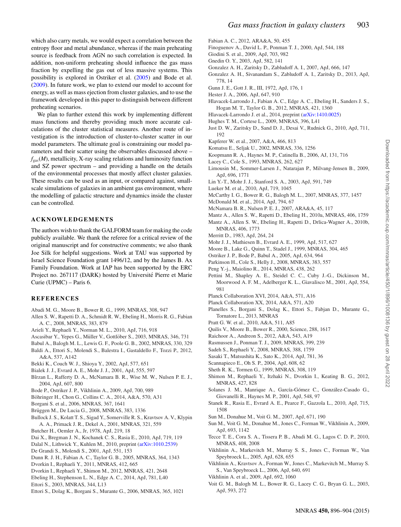which also carry metals, we would expect a correlation between the entropy floor and metal abundance, whereas if the main preheating source is feedback from AGN no such correlation is expected. In addition, non-uniform preheating should influence the gas mass fraction by expelling the gas out of less massive systems. This possibility is explored in Ostriker et al. (2005) and Bode et al. (2009). In future work, we plan to extend our model to account for energy, as well as mass ejection from cluster galaxies, and to use the framework developed in this paper to distinguish between different preheating scenarios.

We plan to further extend this work by implementing different mass functions and thereby providing much more accurate calculations of the cluster statistical measures. Another route of investigation is the introduction of cluster-to-cluster scatter in our model parameters. The ultimate goal is constraining our model parameters and their scatter using the observables discussed above –  $f_{\rm gas}(M)$ , metallicity, X-ray scaling relations and luminosity function and SZ power spectrum – and providing a handle on the details of the environmental processes that mostly affect cluster galaxies. These results can be used as an input, or compared against, smallscale simulations of galaxies in an ambient gas environment, where the modelling of galactic structure and dynamics inside the cluster can be controlled.

### **ACKNOWLEDGEMENTS**

The authors wish to thank the GALFORM team for making the code publicly available. We thank the referee for a critical review of the original manuscript and for constructive comments; we also thank Joe Silk for helpful suggestions. Work at TAU was supported by Israel Science Foundation grant 1496/12, and by the James B. Ax Family Foundation. Work at IAP has been supported by the ERC Project no. 267117 (DARK) hosted by Université Pierre et Marie Curie (UPMC) – Paris 6.

#### **REFERENCES**

- Abadi M. G., Moore B., Bower R. G., 1999, MNRAS, 308, 947
- Allen S. W., Rapetti D. A., Schmidt R. W., Ebeling H., Morris R. G., Fabian A. C., 2008, MNRAS, 383, 879
- Arieli Y., Rephaeli Y., Norman M. L., 2010, ApJ, 716, 918
- Ascasibar Y., Yepes G., Müller V., Gottlöber S., 2003, MNRAS, 346, 731
- Babul A., Balogh M. L., Lewis G. F., Poole G. B., 2002, MNRAS, 330, 329
- Baldi A., Ettori S., Molendi S., Balestra I., Gastaldello F., Tozzi P., 2012, A&A, 537, A142
- Bekki K., Couch W. J., Shioya Y., 2002, ApJ, 577, 651
- Bialek J. J., Evrard A. E., Mohr J. J., 2001, ApJ, 555, 597
- Bîrzan L., Rafferty D. A., McNamara B. R., Wise M. W., Nulsen P. E. J., 2004, ApJ, 607, 800
- Bode P., Ostriker J. P., Vikhlinin A., 2009, ApJ, 700, 989
- Böhringer H., Chon G., Collins C. A., 2014, A&A, 570, A31
- Borgani S. et al., 2006, MNRAS, 367, 1641
- Brüggen M., De Lucia G., 2008, MNRAS, 383, 1336
- Bullock J. S., Kolatt T. S., Sigad Y., Somerville R. S., Kravtsov A. V., Klypin A. A., Primack J. R., Dekel A., 2001, MNRAS, 321, 559
- Butcher H., Oemler A., Jr, 1978, ApJ, 219, 18
- Dai X., Bregman J. N., Kochanek C. S., Rasia E., 2010, ApJ, 719, 119
- Dalal N., Lithwick Y., Kuhlen M., 2010, preprint [\(arXiv:1010.2539\)](http://arxiv.org/abs/1010.2539)
- De Grandi S., Molendi S., 2001, ApJ, 551, 153
- Dunn R. J. H., Fabian A. C., Taylor G. B., 2005, MNRAS, 364, 1343
- Dvorkin I., Rephaeli Y., 2011, MNRAS, 412, 665
- Dvorkin I., Rephaeli Y., Shimon M., 2012, MNRAS, 421, 2648
- Ebeling H., Stephenson L. N., Edge A. C., 2014, ApJ, 781, L40
- Ettori S., 2003, MNRAS, 344, L13
- Ettori S., Dolag K., Borgani S., Murante G., 2006, MNRAS, 365, 1021
- Fabian A. C., 2012, ARA&A, 50, 455
- Finoguenov A., David L. P., Ponman T. J., 2000, ApJ, 544, 188
- Giodini S. et al., 2009, ApJ, 703, 982
- Gnedin O. Y., 2003, ApJ, 582, 141
- Gonzalez A. H., Zaritsky D., Zabludoff A. I., 2007, ApJ, 666, 147
- Gonzalez A. H., Sivanandam S., Zabludoff A. I., Zaritsky D., 2013, ApJ, 778, 14
- Gunn J. E., Gott J. R., III, 1972, ApJ, 176, 1
- Hester J. A., 2006, ApJ, 647, 910
- Hlavacek-Larrondo J., Fabian A. C., Edge A. C., Ebeling H., Sanders J. S., Hogan M. T., Taylor G. B., 2012, MNRAS, 421, 1360
- Hlavacek-Larrondo J. et al., 2014, preprint [\(arXiv:1410.0025\)](http://arxiv.org/abs/1410.0025)
- Hughes T. M., Cortese L., 2009, MNRAS, 396, L41
- Just D. W., Zaritsky D., Sand D. J., Desai V., Rudnick G., 2010, ApJ, 711, 192
- Kapferer W. et al., 2007, A&A, 466, 813
- Komatsu E., Seljak U., 2002, MNRAS, 336, 1256
- Koopmann R. A., Haynes M. P., Catinella B., 2006, AJ, 131, 716
- Lacey C., Cole S., 1993, MNRAS, 262, 627
- Limousin M., Sommer-Larsen J., Natarajan P., Milvang-Jensen B., 2009, ApJ, 696, 1771
- Lin Y.-T., Mohr J. J., Stanford S. A., 2003, ApJ, 591, 749
- Lueker M. et al., 2010, ApJ, 719, 1045
- McCarthy I. G., Bower R. G., Balogh M. L., 2007, MNRAS, 377, 1457
- McDonald M. et al., 2014, ApJ, 794, 67
- McNamara B. R., Nulsen P. E. J., 2007, ARA&A, 45, 117
- Mantz A., Allen S. W., Rapetti D., Ebeling H., 2010a, MNRAS, 406, 1759 Mantz A., Allen S. W., Ebeling H., Rapetti D., Drlica-Wagner A., 2010b, MNRAS, 406, 1773
- Merritt D., 1983, ApJ, 264, 24
- Mohr J. J., Mathiesen B., Evrard A. E., 1999, ApJ, 517, 627
- Moore B., Lake G., Quinn T., Stadel J., 1999, MNRAS, 304, 465
- Ostriker J. P., Bode P., Babul A., 2005, ApJ, 634, 964
- Parkinson H., Cole S., Helly J., 2008, MNRAS, 383, 557
- Peng Y.-j., Maiolino R., 2014, MNRAS, 438, 262
- Pettini M., Shapley A. E., Steidel C. C., Cuby J.-G., Dickinson M., Moorwood A. F. M., Adelberger K. L., Giavalisco M., 2001, ApJ, 554, 981
- Planck Collaboration XVI, 2014, A&A, 571, A16
- Planck Collaboration XX, 2014, A&A, 571, A20
- Planelles S., Borgani S., Dolag K., Ettori S., Fabjan D., Murante G., Tornatore L., 2013, MNRAS
- Pratt G. W. et al., 2010, A&A, 511, A85
- Quilis V., Moore B., Bower R., 2000, Science, 288, 1617
- Raichoor A., Andreon S., 2012, A&A, 543, A19
- Rasmussen J., Ponman T. J., 2009, MNRAS, 399, 239
- Sadeh S., Rephaeli Y., 2008, MNRAS, 388, 1759
- Sasaki T., Matsushita K., Sato K., 2014, ApJ, 781, 36
- Scannapieco E., Oh S. P., 2004, ApJ, 608, 62
- Sheth R. K., Tormen G., 1999, MNRAS, 308, 119
- Shimon M., Rephaeli Y., Itzhaki N., Dvorkin I., Keating B. G., 2012, MNRAS, 427, 828
- Solanes J. M., Manrique A., García-Gómez C., González-Casado G., Giovanelli R., Haynes M. P., 2001, ApJ, 548, 97
- Stanek R., Rasia E., Evrard A. E., Pearce F., Gazzola L., 2010, ApJ, 715, 1508
- Sun M., Donahue M., Voit G. M., 2007, ApJ, 671, 190
- Sun M., Voit G. M., Donahue M., Jones C., Forman W., Vikhlinin A., 2009, ApJ, 693, 1142
- Tecce T. E., Cora S. A., Tissera P. B., Abadi M. G., Lagos C. D. P., 2010, MNRAS, 408, 2008
- Vikhlinin A., Markevitch M., Murray S. S., Jones C., Forman W., Van Speybroeck L., 2005, ApJ, 628, 655
- Vikhlinin A., Kravtsov A., Forman W., Jones C., Markevitch M., Murray S. S., Van Speybroeck L., 2006, ApJ, 640, 691
- Vikhlinin A. et al., 2009, ApJ, 692, 1060
- Voit G. M., Balogh M. L., Bower R. G., Lacey C. G., Bryan G. L., 2003, ApJ, 593, 272